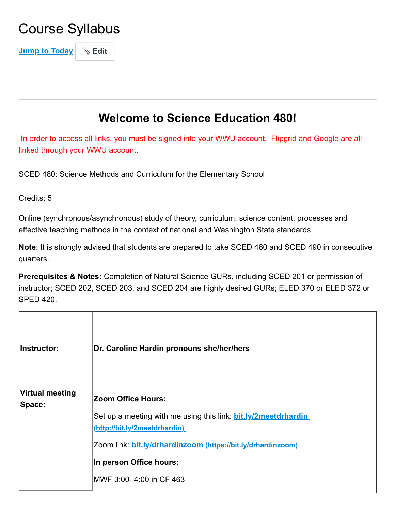# Course Syllabus

**Jump to Today Edit**

## **Welcome to Science Education 480!**

In order to access all links, you must be signed into your WWU account. Flipgrid and Google are all linked through your WWU account.

SCED 480: Science Methods and Curriculum for the Elementary School

Credits: 5

Online (synchronous/asynchronous) study of theory, curriculum, science content, processes and effective teaching methods in the context of national and Washington State standards.

**Note**: It is strongly advised that students are prepared to take SCED 480 and SCED 490 in consecutive quarters.

**Prerequisites & Notes:** Completion of Natural Science GURs, including SCED 201 or permission of instructor; SCED 202, SCED 203, and SCED 204 are highly desired GURs; ELED 370 or ELED 372 or SPED 420.

| Instructor:                      | Dr. Caroline Hardin pronouns she/her/hers                             |
|----------------------------------|-----------------------------------------------------------------------|
| <b>Virtual meeting</b><br>Space: | <b>Zoom Office Hours:</b>                                             |
|                                  | Set up a meeting with me using this link: <b>bit.ly/2meetdrhardin</b> |
|                                  | (http://bit.ly/2meetdrhardin)                                         |
|                                  | Zoom link: bit.ly/drhardinzoom (https://bit.ly/drhardinzoom)          |
|                                  | In person Office hours:                                               |
|                                  | MWF 3:00-4:00 in CF 463                                               |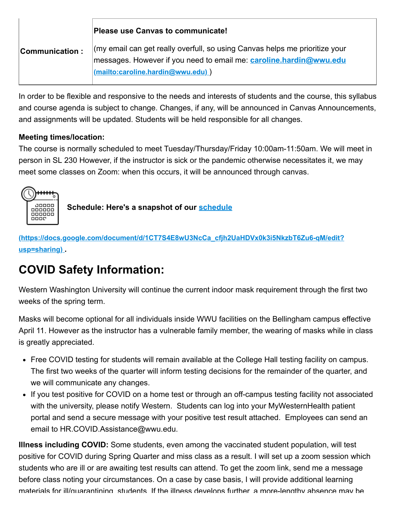|                | <b>Please use Canvas to communicate!</b>                                                                                                                                                       |  |  |  |  |  |
|----------------|------------------------------------------------------------------------------------------------------------------------------------------------------------------------------------------------|--|--|--|--|--|
| Communication: | $\langle$ my email can get really overfull, so using Canvas helps me prioritize your<br>messages. However if you need to email me: caroline.hardin@wwu.edu<br>(mailto:caroline.hardin@wwu.edu) |  |  |  |  |  |

In order to be flexible and responsive to the needs and interests of students and the course, this syllabus and course agenda is subject to change. Changes, if any, will be announced in Canvas Announcements, and assignments will be updated. Students will be held responsible for all changes.

#### **Meeting times/location:**

The course is normally scheduled to meet Tuesday/Thursday/Friday 10:00am-11:50am. We will meet in person in SL 230 However, if the instructor is sick or the pandemic otherwise necessitates it, we may meet some classes on Zoom: when this occurs, it will be announced through canvas.



**Schedule: Here's a snapshot of our schedule**

**[\(https://docs.google.com/document/d/1CT7S4E8wU3NcCa\\_cfjh2UaHDVx0k3i5NkzbT6Zu6-qM/edit?](https://docs.google.com/document/d/1CT7S4E8wU3NcCa_cfjh2UaHDVx0k3i5NkzbT6Zu6-qM/edit?usp=sharing) usp=sharing) .**

## **COVID Safety Information:**

Western Washington University will continue the current indoor mask requirement through the first two weeks of the spring term.

Masks will become optional for all individuals inside WWU facilities on the Bellingham campus effective April 11. However as the instructor has a vulnerable family member, the wearing of masks while in class is greatly appreciated.

- Free COVID testing for students will remain available at the College Hall testing facility on campus. The first two weeks of the quarter will inform testing decisions for the remainder of the quarter, and we will communicate any changes.
- If you test positive for COVID on a home test or through an off-campus testing facility not associated with the university, please notify Western. Students can log into your MyWesternHealth patient portal and send a secure message with your positive test result attached. Employees can send an email to HR.COVID.Assistance@wwu.edu.

**Illness including COVID:** Some students, even among the vaccinated student population, will test positive for COVID during Spring Quarter and miss class as a result. I will set up a zoom session which students who are ill or are awaiting test results can attend. To get the zoom link, send me a message before class noting your circumstances. On a case by case basis, I will provide additional learning materials for ill/quarantining students. If the illness develops further a more-lengthy absence may be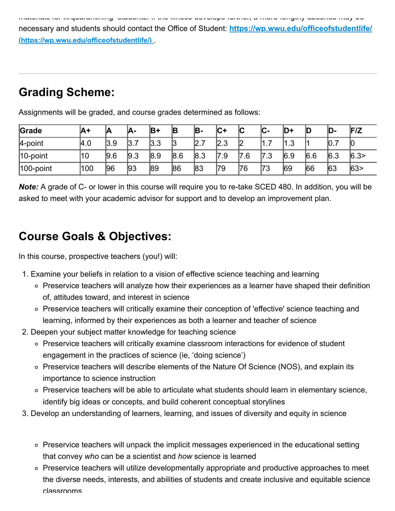materials for illimities in the illness develops further, a more lengthy absence

[necessary and students should contact the Office of Student:](https://wp.wwu.edu/officeofstudentlife/) **https://wp.wwu.edu/officeofstudentlife/ (https://wp.wwu.edu/officeofstudentlife/)** .

## **Grading Scheme:**

| Grade         | ΙA+ | Α       | IA-       | IB+ | B   | B-       | ∣C+      | שו                | יי<br>v- | D+   |     | D-   | F/Z  |
|---------------|-----|---------|-----------|-----|-----|----------|----------|-------------------|----------|------|-----|------|------|
| 4-point       | 4.0 | $3.9\,$ | ⇁<br>l3.7 | 3.3 | 13  | –<br>2.7 | 2.3<br>◠ | IС<br>ட           | –<br>.   | '1.ა |     | 10.7 | 10   |
| 10-point      | 10  | 9.6     | 9.3       | 8.9 | 8.6 | 8.3      | 17<br>.9 | 7<br>$^{\circ}.6$ | 7.3      | 6.9  | 6.6 | 6.3  | 6.3> |
| $ 100$ -point | 100 | 96      | 93        | 89  | 86  | 83       | 79       | 76                | ר7<br>J  | 69   | 66  | 63   | 63   |

Assignments will be graded, and course grades determined as follows:

*Note:* A grade of C- or lower in this course will require you to re-take SCED 480. In addition, you will be asked to meet with your academic advisor for support and to develop an improvement plan.

#### **Course Goals & Objectives:**

In this course, prospective teachers (you!) will:

- 1. Examine your beliefs in relation to a vision of effective science teaching and learning
	- $\circ$  Preservice teachers will analyze how their experiences as a learner have shaped their definition of, attitudes toward, and interest in science
	- o Preservice teachers will critically examine their conception of 'effective' science teaching and learning, informed by their experiences as both a learner and teacher of science
- 2. Deepen your subject matter knowledge for teaching science
	- Preservice teachers will critically examine classroom interactions for evidence of student engagement in the practices of science (ie, 'doing science')
	- Preservice teachers will describe elements of the Nature Of Science (NOS), and explain its importance to science instruction
	- Preservice teachers will be able to articulate what students should learn in elementary science, identify big ideas or concepts, and build coherent conceptual storylines
- 3. Develop an understanding of learners, learning, and issues of diversity and equity in science
	- Preservice teachers will unpack the implicit messages experienced in the educational setting that convey *who* can be a scientist and *how* science is learned
	- Preservice teachers will utilize developmentally appropriate and productive approaches to meet the diverse needs, interests, and abilities of students and create inclusive and equitable science classrooms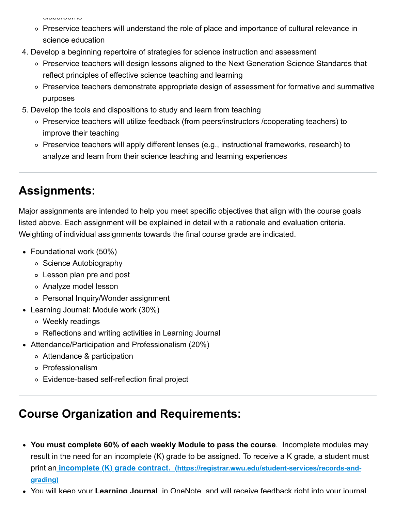vidooi oomso

- Preservice teachers will understand the role of place and importance of cultural relevance in science education
- 4. Develop a beginning repertoire of strategies for science instruction and assessment
	- o Preservice teachers will design lessons aligned to the Next Generation Science Standards that reflect principles of effective science teaching and learning
	- Preservice teachers demonstrate appropriate design of assessment for formative and summative purposes
- 5. Develop the tools and dispositions to study and learn from teaching
	- Preservice teachers will utilize feedback (from peers/instructors /cooperating teachers) to improve their teaching
	- Preservice teachers will apply different lenses (e.g., instructional frameworks, research) to analyze and learn from their science teaching and learning experiences

## **Assignments:**

Major assignments are intended to help you meet specific objectives that align with the course goals listed above. Each assignment will be explained in detail with a rationale and evaluation criteria. Weighting of individual assignments towards the final course grade are indicated.

- Foundational work (50%)
	- Science Autobiography
	- Lesson plan pre and post
	- Analyze model lesson
	- Personal Inquiry/Wonder assignment
- Learning Journal: Module work (30%)
	- Weekly readings
	- Reflections and writing activities in Learning Journal
- Attendance/Participation and Professionalism (20%)
	- Attendance & participation
	- Professionalism
	- Evidence-based self-reflection final project

# **Course Organization and Requirements:**

- **You must complete 60% of each weekly Module to pass the course**. Incomplete modules may result in the need for an incomplete (K) grade to be assigned. To receive a K grade, a student must print an **incomplete (K) grade contract. [\(https://registrar.wwu.edu/student-services/records-and](https://registrar.wwu.edu/student-services/records-and-grading)grading)**
- You will keep your **Learning Journal** in OneNote and will receive feedback right into your journal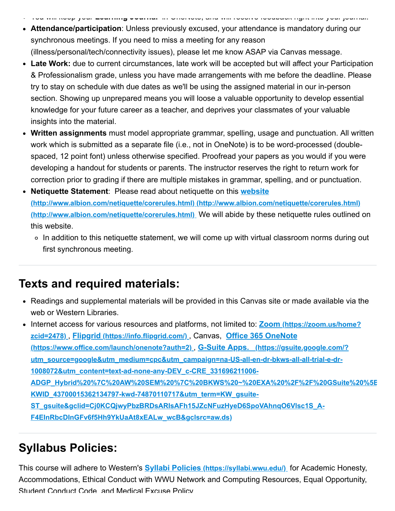- You will keep your **Learning Journal** in OneNote, and will receive feedback right into your journal.
- **Attendance/participation**: Unless previously excused, your attendance is mandatory during our synchronous meetings. If you need to miss a meeting for any reason (illness/personal/tech/connectivity issues), please let me know ASAP via Canvas message.
- **Late Work:** due to current circumstances, late work will be accepted but will affect your Participation & Professionalism grade, unless you have made arrangements with me before the deadline. Please try to stay on schedule with due dates as we'll be using the assigned material in our in-person section. Showing up unprepared means you will loose a valuable opportunity to develop essential knowledge for your future career as a teacher, and deprives your classmates of your valuable insights into the material.
- **Written assignments** must model appropriate grammar, spelling, usage and punctuation. All written work which is submitted as a separate file (i.e., not in OneNote) is to be word-processed (doublespaced, 12 point font) unless otherwise specified. Proofread your papers as you would if you were developing a handout for students or parents. The instructor reserves the right to return work for correction prior to grading if there are multiple mistakes in grammar, spelling, and or punctuation.
- **Netiquette Statement**: Please read about netiquette on this **website [\(http://www.albion.com/netiquette/corerules.html\)](http://www.albion.com/netiquette/corerules.html) [\(http://www.albion.com/netiquette/corerules.html\)](http://www.albion.com/netiquette/corerules.html) [\(http://www.albion.com/netiquette/corerules.html\)](http://www.albion.com/netiquette/corerules.html)** We will abide by these netiquette rules outlined on this website.
	- In addition to this netiquette statement, we will come up with virtual classroom norms during out first synchronous meeting.

#### **Texts and required materials:**

Readings and supplemental materials will be provided in this Canvas site or made available via the web or Western Libraries.

[Internet access for various resources and platforms, not limited to:](https://zoom.us/home?zcid=2478) **Zoom (https://zoom.us/home? zcid=2478)** , **Flipgrid [\(https://info.flipgrid.com/\)](https://info.flipgrid.com/)** , Canvas, **Office 365 OneNote [\(https://www.office.com/launch/onenote?auth=2\)](https://www.office.com/launch/onenote?auth=2)** , **G-Suite Apps. (https://gsuite.google.com/?** utm\_source=google&utm\_medium=cpc&utm\_campaign=na-US-all-en-dr-bkws-all-all-trial-e-dr-**1008072&utm\_content=text-ad-none-any-DEV\_c-CRE\_331696211006- [ADGP\\_Hybrid%20%7C%20AW%20SEM%20%7C%20BKWS%20~%20EXA%20%2F%2F%20GSuite%20%5B](https://gsuite.google.com/?utm_source=google&utm_medium=cpc&utm_campaign=na-US-all-en-dr-bkws-all-all-trial-e-dr-1008072&utm_content=text-ad-none-any-DEV_c-CRE_331696211006-ADGP_Hybrid%20%7C%20AW%20SEM%20%7C%20BKWS%20~%20EXA%20%2F%2F%20GSuite%20%5B1:1%5D%20GSuite-KWID_43700015362134797-kwd-74870110717&utm_term=KW_gsuite-ST_gsuite&gclid=Cj0KCQjwyPbzBRDsARIsAFh15JZcNFuzHyeD6SpoVAhnqO6Vlsc1S_A-F4EInRbcDInGFv6f5Hh9YkUaAt8xEALw_wcB&gclsrc=aw.ds) KWID\_43700015362134797-kwd-74870110717&utm\_term=KW\_gsuite-ST\_gsuite&gclid=Cj0KCQjwyPbzBRDsARIsAFh15JZcNFuzHyeD6SpoVAhnqO6Vlsc1S\_A-F4EInRbcDInGFv6f5Hh9YkUaAt8xEALw\_wcB&gclsrc=aw.ds)**

## **Syllabus Policies:**

This course will adhere to Western's **Syllabi Policies [\(https://syllabi.wwu.edu/\)](https://syllabi.wwu.edu/)** for Academic Honesty, Accommodations, Ethical Conduct with WWU Network and Computing Resources, Equal Opportunity, Student Conduct Code and Medical Excuse Policy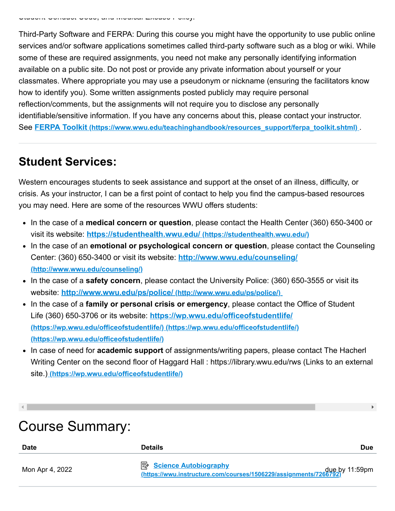Third-Party Software and FERPA: During this course you might have the opportunity to use public online services and/or software applications sometimes called third-party software such as a blog or wiki. While some of these are required assignments, you need not make any personally identifying information available on a public site. Do not post or provide any private information about yourself or your classmates. Where appropriate you may use a pseudonym or nickname (ensuring the facilitators know how to identify you). Some written assignments posted publicly may require personal reflection/comments, but the assignments will not require you to disclose any personally identifiable/sensitive information. If you have any concerns about this, please contact your instructor. See **FERPA Toolkit [\(https://www.wwu.edu/teachinghandbook/resources\\_support/ferpa\\_toolkit.shtml\)](https://www.wwu.edu/teachinghandbook/resources_support/ferpa_toolkit.shtml)** .

#### **Student Services:**

Western encourages students to seek assistance and support at the onset of an illness, difficulty, or crisis. As your instructor, I can be a first point of contact to help you find the campus-based resources you may need. Here are some of the resources WWU offers students:

- In the case of a **medical concern or question**, please contact the Health Center (360) 650-3400 or visit its website: **<https://studenthealth.wwu.edu/>(https://studenthealth.wwu.edu/)**
- In the case of an **emotional or psychological concern or question**, please contact the Counseling [Center: \(360\) 650-3400 or visit its website:](http://www.wwu.edu/counseling/) **http://www.wwu.edu/counseling/ (http://www.wwu.edu/counseling/)**
- In the case of a **safety concern**, please contact the University Police: (360) 650-3555 or visit its website: **<http://www.wwu.edu/ps/police/> (http://www.wwu.edu/ps/police/)**
- In the case of a **family or personal crisis or emergency**, please contact the Office of Student Life (360) 650-3706 or its website: **<https://wp.wwu.edu/officeofstudentlife/> (https://wp.wwu.edu/officeofstudentlife/) [\(https://wp.wwu.edu/officeofstudentlife/\)](https://wp.wwu.edu/officeofstudentlife/) [\(https://wp.wwu.edu/officeofstudentlife/\)](https://wp.wwu.edu/officeofstudentlife/)**
- In case of need for **academic support** of assignments/writing papers, please contact The Hacherl Writing Center on the second floor of Haggard Hall : https://library.wwu.edu/rws (Links to an external site.) **[\(https://wp.wwu.edu/officeofstudentlife/\)](https://wp.wwu.edu/officeofstudentlife/)**

| <b>Course Summary:</b> |                                                                                                                      |            |
|------------------------|----------------------------------------------------------------------------------------------------------------------|------------|
| <b>Date</b>            | <b>Details</b>                                                                                                       | <b>Due</b> |
| Mon Apr 4, 2022        | <b>B</b> Science Autobiography<br>due by 11:59pm<br>https://wwu.instructure.com/courses/1506229/assignments/7266792) |            |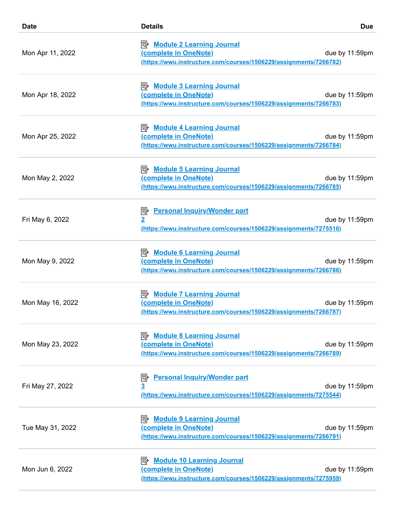| <b>Date</b>      | <b>Details</b>                                                                                                                   | <b>Due</b>     |
|------------------|----------------------------------------------------------------------------------------------------------------------------------|----------------|
| Mon Apr 11, 2022 | <b>B</b> Module 2 Learning Journal<br>(complete in OneNote)<br>(https://wwu.instructure.com/courses/1506229/assignments/7266782) | due by 11:59pm |
| Mon Apr 18, 2022 | <b>B</b> Module 3 Learning Journal<br>(complete in OneNote)<br>(https://wwu.instructure.com/courses/1506229/assignments/7266783) | due by 11:59pm |
| Mon Apr 25, 2022 | <b>B</b> Module 4 Learning Journal<br>(complete in OneNote)<br>(https://wwu.instructure.com/courses/1506229/assignments/7266784) | due by 11:59pm |
| Mon May 2, 2022  | <b>B</b> Module 5 Learning Journal<br>(complete in OneNote)<br>(https://wwu.instructure.com/courses/1506229/assignments/7266785) | due by 11:59pm |
| Fri May 6, 2022  | <b>Personal Inquiry/Wonder part</b><br>暨<br>(https://wwu.instructure.com/courses/1506229/assignments/7275516)                    | due by 11:59pm |
| Mon May 9, 2022  | <b>B</b> Module 6 Learning Journal<br>(complete in OneNote)<br>(https://wwu.instructure.com/courses/1506229/assignments/7266786) | due by 11:59pm |
| Mon May 16, 2022 | <b>B</b> Module 7 Learning Journal<br>(complete in OneNote)<br>(https://wwu.instructure.com/courses/1506229/assignments/7266787) | due by 11:59pm |
| Mon May 23, 2022 | <b>B</b> Module 8 Learning Journal<br>(complete in OneNote)<br>(https://wwu.instructure.com/courses/1506229/assignments/7266789) | due by 11:59pm |
| Fri May 27, 2022 | <b>Personal Inquiry/Wonder part</b><br>暨<br>3<br>(https://wwu.instructure.com/courses/1506229/assignments/7275544)               | due by 11:59pm |
| Tue May 31, 2022 | <b>B</b> Module 9 Learning Journal<br>(complete in OneNote)<br>(https://wwu.instructure.com/courses/1506229/assignments/7266791) | due by 11:59pm |
| Mon Jun 6, 2022  | <b>Module 10 Learning Journal</b><br>(complete in OneNote)<br>(https://wwu.instructure.com/courses/1506229/assignments/7275959)  | due by 11:59pm |